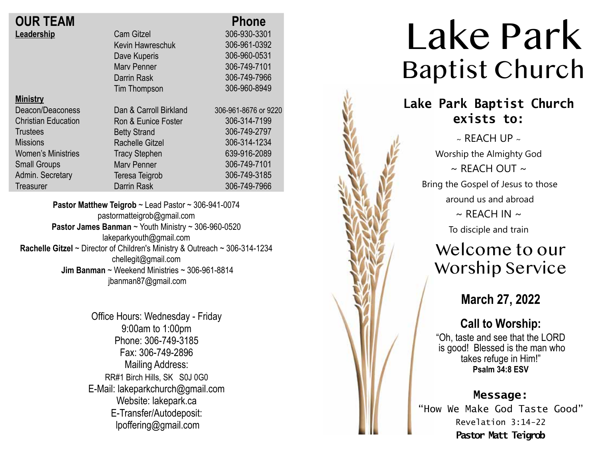| <b>OUR TEAM</b>            |                        | <b>Phone</b>         |
|----------------------------|------------------------|----------------------|
| Leadership                 | <b>Cam Gitzel</b>      | 306-930-3301         |
|                            | Kevin Hawreschuk       | 306-961-0392         |
|                            | Dave Kuperis           | 306-960-0531         |
|                            | <b>Mary Penner</b>     | 306-749-7101         |
|                            | Darrin Rask            | 306-749-7966         |
|                            | Tim Thompson           | 306-960-8949         |
| <b>Ministry</b>            |                        |                      |
| Deacon/Deaconess           | Dan & Carroll Birkland | 306-961-8676 or 9220 |
| <b>Christian Education</b> | Ron & Eunice Foster    | 306-314-7199         |
| <b>Trustees</b>            | <b>Betty Strand</b>    | 306-749-2797         |
| <b>Missions</b>            | <b>Rachelle Gitzel</b> | 306-314-1234         |
| <b>Women's Ministries</b>  | <b>Tracy Stephen</b>   | 639-916-2089         |
| <b>Small Groups</b>        | <b>Mary Penner</b>     | 306-749-7101         |
| Admin. Secretary           | Teresa Teigrob         | 306-749-3185         |
| Treasurer                  | <b>Darrin Rask</b>     | 306-749-7966         |
|                            |                        |                      |

**Pastor Matthew Teigrob** ~ Lead Pastor ~ 306-941-0074 pastormatteigrob@gmail.com **Pastor James Banman** ~ Youth Ministry ~ 306-960-0520 lakeparkyouth@gmail.com **Rachelle Gitzel** ~ Director of Children's Ministry & Outreach ~ 306-314-1234 chellegit@gmail.com  **Jim Banman** ~ Weekend Ministries ~ 306-961-8814 jbanman87@gmail.com

> Office Hours: Wednesday - Friday 9:00am to 1:00pm Phone: 306-749-3185 Fax: 306-749-2896 Mailing Address: RR#1 Birch Hills, SK S0J 0G0 E-Mail: lakeparkchurch@gmail.com Website: lakepark.ca E-Transfer/Autodeposit: lpoffering@gmail.com